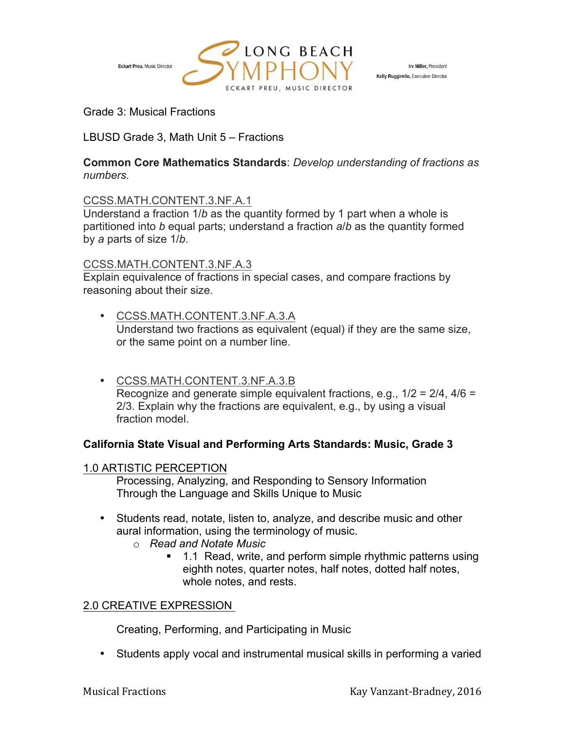

Irv Miller, President Kelly Ruggirello, Executive Director

Grade 3: Musical Fractions

LBUSD Grade 3, Math Unit 5 – Fractions

#### **Common Core Mathematics Standards**: *Develop understanding of fractions as numbers.*

### CCSS.MATH.CONTENT.3.NF.A.1

Understand a fraction 1/*b* as the quantity formed by 1 part when a whole is partitioned into *b* equal parts; understand a fraction *a*/*b* as the quantity formed by *a* parts of size 1/*b*.

### CCSS.MATH.CONTENT.3.NF.A.3

Explain equivalence of fractions in special cases, and compare fractions by reasoning about their size.

- CCSS.MATH.CONTENT.3.NF.A.3.A Understand two fractions as equivalent (equal) if they are the same size, or the same point on a number line.
- CCSS.MATH.CONTENT.3.NF.A.3.B Recognize and generate simple equivalent fractions, e.g., 1/2 = 2/4, 4/6 = 2/3. Explain why the fractions are equivalent, e.g., by using a visual fraction model.

## **California State Visual and Performing Arts Standards: Music, Grade 3**

#### 1.0 ARTISTIC PERCEPTION

Processing, Analyzing, and Responding to Sensory Information Through the Language and Skills Unique to Music

- Students read, notate, listen to, analyze, and describe music and other aural information, using the terminology of music.
	- o *Read and Notate Music* 
		- 1.1 Read, write, and perform simple rhythmic patterns using eighth notes, quarter notes, half notes, dotted half notes, whole notes, and rests.

## 2.0 CREATIVE EXPRESSION

Creating, Performing, and Participating in Music

• Students apply vocal and instrumental musical skills in performing a varied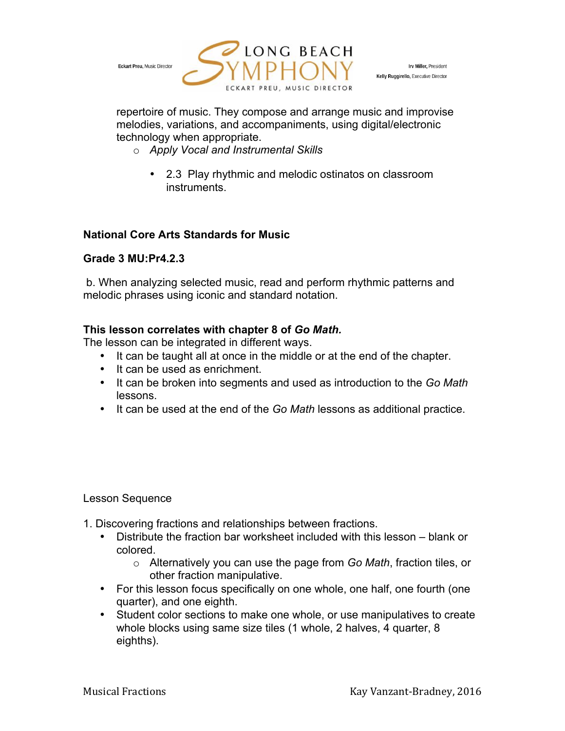

Irv Miller, President Kelly Ruggirello, Executive Director

repertoire of music. They compose and arrange music and improvise melodies, variations, and accompaniments, using digital/electronic technology when appropriate.

- o *Apply Vocal and Instrumental Skills* 
	- 2.3 Play rhythmic and melodic ostinatos on classroom instruments.

# **National Core Arts Standards for Music**

# **Grade 3 MU:Pr4.2.3**

b. When analyzing selected music, read and perform rhythmic patterns and melodic phrases using iconic and standard notation.

# **This lesson correlates with chapter 8 of** *Go Math.*

The lesson can be integrated in different ways.

- It can be taught all at once in the middle or at the end of the chapter.
- It can be used as enrichment.
- It can be broken into segments and used as introduction to the *Go Math* lessons.
- It can be used at the end of the *Go Math* lessons as additional practice.

## Lesson Sequence

- 1. Discovering fractions and relationships between fractions.
	- Distribute the fraction bar worksheet included with this lesson blank or colored.
		- o Alternatively you can use the page from *Go Math*, fraction tiles, or other fraction manipulative.
	- For this lesson focus specifically on one whole, one half, one fourth (one quarter), and one eighth.
	- Student color sections to make one whole, or use manipulatives to create whole blocks using same size tiles (1 whole, 2 halves, 4 quarter, 8 eighths).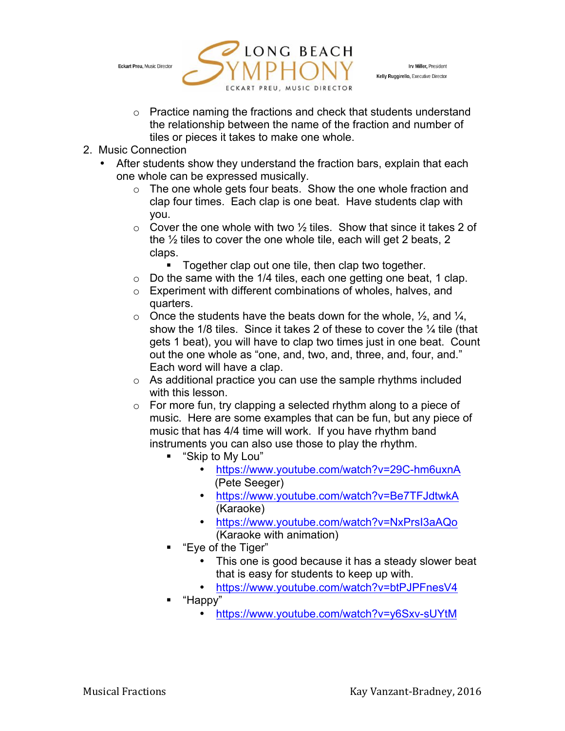

Irv Miller, President Kelly Ruggirello, Executive Director

- o Practice naming the fractions and check that students understand the relationship between the name of the fraction and number of tiles or pieces it takes to make one whole.
- 2. Music Connection
	- After students show they understand the fraction bars, explain that each one whole can be expressed musically.
		- o The one whole gets four beats. Show the one whole fraction and clap four times. Each clap is one beat. Have students clap with you.
		- $\circ$  Cover the one whole with two  $\frac{1}{2}$  tiles. Show that since it takes 2 of the ½ tiles to cover the one whole tile, each will get 2 beats, 2 claps.
			- Together clap out one tile, then clap two together.
		- $\circ$  Do the same with the 1/4 tiles, each one getting one beat, 1 clap.
		- o Experiment with different combinations of wholes, halves, and quarters.
		- $\circ$  Once the students have the beats down for the whole,  $\frac{1}{2}$ , and  $\frac{1}{4}$ , show the 1/8 tiles. Since it takes 2 of these to cover the 1/4 tile (that gets 1 beat), you will have to clap two times just in one beat. Count out the one whole as "one, and, two, and, three, and, four, and." Each word will have a clap.
		- o As additional practice you can use the sample rhythms included with this lesson.
		- $\circ$  For more fun, try clapping a selected rhythm along to a piece of music. Here are some examples that can be fun, but any piece of music that has 4/4 time will work. If you have rhythm band instruments you can also use those to play the rhythm.
			- § "Skip to My Lou"
				- https://www.youtube.com/watch?v=29C-hm6uxnA (Pete Seeger)
				- https://www.youtube.com/watch?v=Be7TFJdtwkA (Karaoke)
				- https://www.youtube.com/watch?v=NxPrsI3aAQo (Karaoke with animation)
			- § "Eye of the Tiger"
				- This one is good because it has a steady slower beat that is easy for students to keep up with.
				- https://www.youtube.com/watch?v=btPJPFnesV4
			- § "Happy"
				- https://www.youtube.com/watch?v=y6Sxv-sUYtM